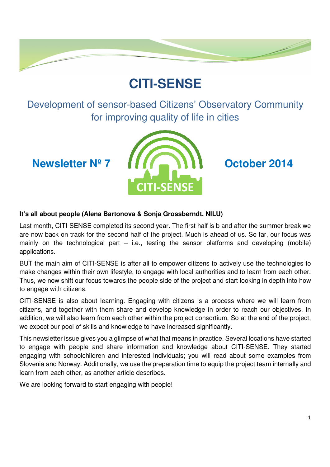# **CITI-SENSE**

Development of sensor-based Citizens' Observatory Community for improving quality of life in cities



## **It's all about people (Alena Bartonova & Sonja Grossberndt, NILU)**

Last month, CITI-SENSE completed its second year. The first half is b and after the summer break we are now back on track for the second half of the project. Much is ahead of us. So far, our focus was mainly on the technological part  $-$  i.e., testing the sensor platforms and developing (mobile) applications.

BUT the main aim of CITI-SENSE is after all to empower citizens to actively use the technologies to make changes within their own lifestyle, to engage with local authorities and to learn from each other. Thus, we now shift our focus towards the people side of the project and start looking in depth into how to engage with citizens.

CITI-SENSE is also about learning. Engaging with citizens is a process where we will learn from citizens, and together with them share and develop knowledge in order to reach our objectives. In addition, we will also learn from each other within the project consortium. So at the end of the project, we expect our pool of skills and knowledge to have increased significantly.

This newsletter issue gives you a glimpse of what that means in practice. Several locations have started to engage with people and share information and knowledge about CITI-SENSE. They started engaging with schoolchildren and interested individuals; you will read about some examples from Slovenia and Norway. Additionally, we use the preparation time to equip the project team internally and learn from each other, as another article describes.

We are looking forward to start engaging with people!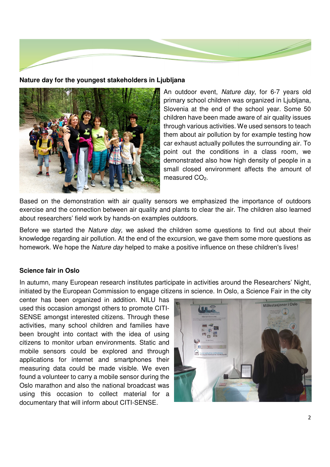

#### **Nature day for the youngest stakeholders in Ljubljana**



An outdoor event, Nature day, for 6-7 years old primary school children was organized in Ljubljana, Slovenia at the end of the school year. Some 50 children have been made aware of air quality issues through various activities. We used sensors to teach them about air pollution by for example testing how car exhaust actually pollutes the surrounding air. To point out the conditions in a class room, we demonstrated also how high density of people in a small closed environment affects the amount of measured CO<sub>2</sub>.

Based on the demonstration with air quality sensors we emphasized the importance of outdoors exercise and the connection between air quality and plants to clear the air. The children also learned about researchers' field work by hands-on examples outdoors.

Before we started the Nature day, we asked the children some questions to find out about their knowledge regarding air pollution. At the end of the excursion, we gave them some more questions as homework. We hope the Nature day helped to make a positive influence on these children's lives!

#### **Science fair in Oslo**

In autumn, many European research institutes participate in activities around the Researchers' Night, initiated by the European Commission to engage citizens in science. In Oslo, a Science Fair in the city

center has been organized in addition. NILU has used this occasion amongst others to promote CITI-SENSE amongst interested citizens. Through these activities, many school children and families have been brought into contact with the idea of using citizens to monitor urban environments. Static and mobile sensors could be explored and through applications for internet and smartphones their measuring data could be made visible. We even found a volunteer to carry a mobile sensor during the Oslo marathon and also the national broadcast was using this occasion to collect material for a documentary that will inform about CITI-SENSE.

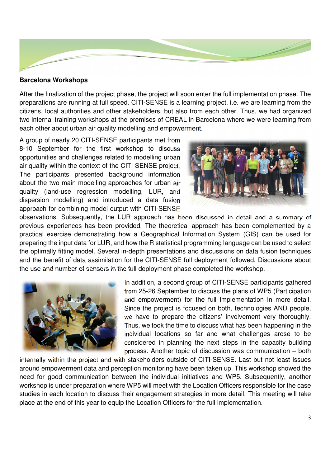

#### **Barcelona Workshops**

After the finalization of the project phase, the project will soon enter the full implementation phase. The preparations are running at full speed. CITI-SENSE is a learning project, i.e. we are learning from the citizens, local authorities and other stakeholders, but also from each other. Thus, we had organized two internal training workshops at the premises of CREAL in Barcelona where we were learning from each other about urban air quality modelling and empowerment.

A group of nearly 20 CITI-SENSE participants met from 8-10 September for the first workshop to discuss opportunities and challenges related to modelling urban air quality within the context of the CITI-SENSE project. The participants presented background information about the two main modelling approaches for urban air quality (land-use regression modelling, LUR, and dispersion modelling) and introduced a data fusion approach for combining model output with CITI-SENSE



observations. Subsequently, the LUR approach has been discussed in detail and a summary of previous experiences has been provided. The theoretical approach has been complemented by a practical exercise demonstrating how a Geographical Information System (GIS) can be used for preparing the input data for LUR, and how the R statistical programming language can be used to select the optimally fitting model. Several in-depth presentations and discussions on data fusion techniques and the benefit of data assimilation for the CITI-SENSE full deployment followed. Discussions about the use and number of sensors in the full deployment phase completed the workshop.



In addition, a second group of CITI-SENSE participants gathered from 25-26 September to discuss the plans of WP5 (Participation and empowerment) for the full implementation in more detail. Since the project is focused on both, technologies AND people, we have to prepare the citizens' involvement very thoroughly. Thus, we took the time to discuss what has been happening in the individual locations so far and what challenges arose to be considered in planning the next steps in the capacity building process. Another topic of discussion was communication – both

internally within the project and with stakeholders outside of CITI-SENSE. Last but not least issues around empowerment data and perception monitoring have been taken up. This workshop showed the need for good communication between the individual initiatives and WP5. Subsequently, another workshop is under preparation where WP5 will meet with the Location Officers responsible for the case studies in each location to discuss their engagement strategies in more detail. This meeting will take place at the end of this year to equip the Location Officers for the full implementation.